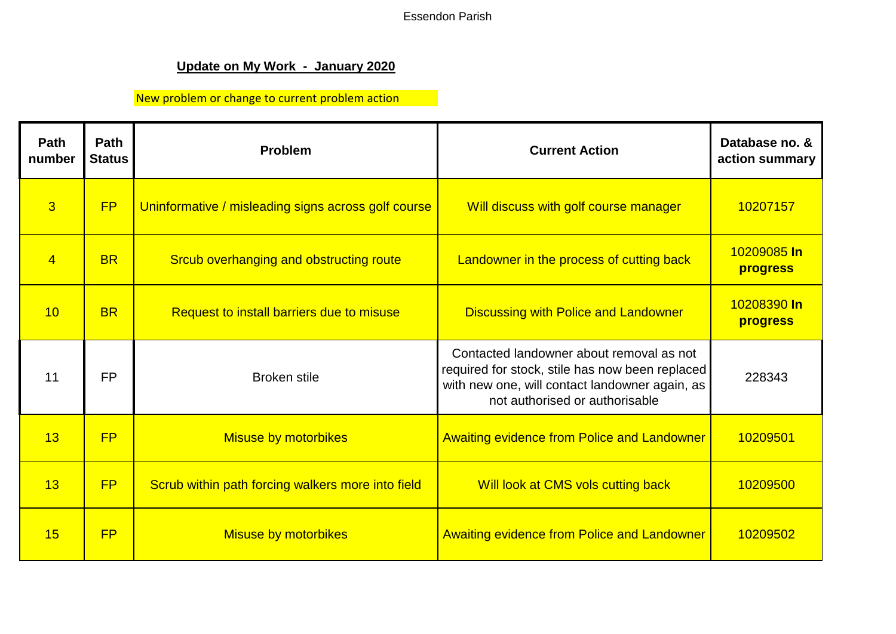Essendon Parish

## **Update on My Work - January 2020**

## New problem or change to current problem action

| <b>Path</b><br>number | Path<br><b>Status</b> | Problem                                             | <b>Current Action</b>                                                                                                                                                           | Database no. &<br>action summary |
|-----------------------|-----------------------|-----------------------------------------------------|---------------------------------------------------------------------------------------------------------------------------------------------------------------------------------|----------------------------------|
| $\overline{3}$        | FP                    | Uninformative / misleading signs across golf course | Will discuss with golf course manager                                                                                                                                           | 10207157                         |
| $\overline{4}$        | <b>BR</b>             | Srcub overhanging and obstructing route             | Landowner in the process of cutting back                                                                                                                                        | 10209085 In<br>progress          |
| 10                    | <b>BR</b>             | Request to install barriers due to misuse           | <b>Discussing with Police and Landowner</b>                                                                                                                                     | 10208390 In<br>progress          |
| 11                    | <b>FP</b>             | <b>Broken stile</b>                                 | Contacted landowner about removal as not<br>required for stock, stile has now been replaced<br>with new one, will contact landowner again, as<br>not authorised or authorisable | 228343                           |
| 13                    | <b>FP</b>             | <b>Misuse by motorbikes</b>                         | <b>Awaiting evidence from Police and Landowner</b>                                                                                                                              | 10209501                         |
| 13                    | FP                    | Scrub within path forcing walkers more into field   | Will look at CMS vols cutting back                                                                                                                                              | 10209500                         |
| 15                    | <b>FP</b>             | <b>Misuse by motorbikes</b>                         | <b>Awaiting evidence from Police and Landowner</b>                                                                                                                              | 10209502                         |